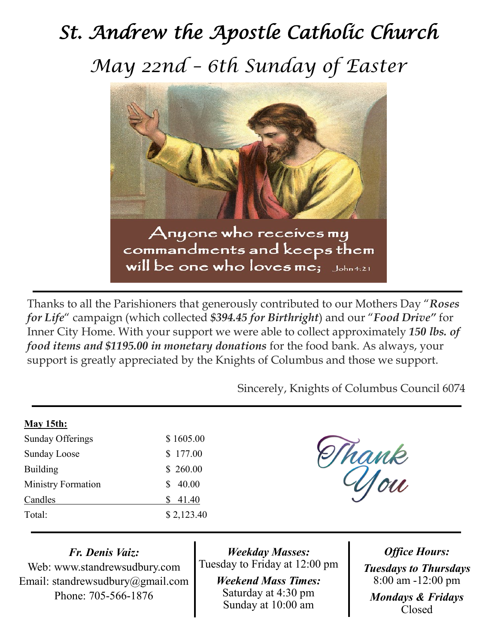## *St. Andrew the Apostle Catholic Church May 22nd – 6th Sunday of Easter*



Thanks to all the Parishioners that generously contributed to our Mothers Day "*Roses for Life*" campaign (which collected *\$394.45 for Birthright*) and our "*Food Drive"* for Inner City Home. With your support we were able to collect approximately *150 lbs. of food items and \$1195.00 in monetary donations* for the food bank. As always, your support is greatly appreciated by the Knights of Columbus and those we support.

Sincerely, Knights of Columbus Council 6074

| May 15th:                 |            |
|---------------------------|------------|
| <b>Sunday Offerings</b>   | \$1605.00  |
| <b>Sunday Loose</b>       | \$177.00   |
| <b>Building</b>           | \$260.00   |
| <b>Ministry Formation</b> | 40.00<br>S |
| Candles                   | 41.40<br>S |
| Total:                    | \$2,123.40 |
|                           |            |

Thank

*Fr. Denis Vaiz:*

Web: www.standrewsudbury.com Email: standrewsudbury@gmail.com Phone: 705-566-1876

*Weekday Masses:* Tuesday to Friday at 12:00 pm

> *Weekend Mass Times:*  Saturday at 4:30 pm Sunday at 10:00 am

*Office Hours: Tuesdays to Thursdays* 8:00 am -12:00 pm *Mondays & Fridays* Closed